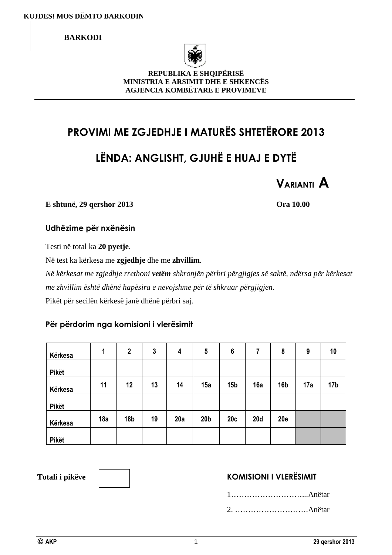**BARKODI** 



#### **REPUBLIKA E SHQIPËRISË MINISTRIA E ARSIMIT DHE E SHKENCËS AGJENCIA KOMBËTARE E PROVIMEVE**

# **PROVIMI ME ZGJEDHJE I MATURËS SHTETËRORE 2013**

# **LËNDA: ANGLISHT, GJUHË E HUAJ E DYTË**



**E shtunë, 29 qershor 2013 Ora 10.00** 

### **Udhëzime për nxënësin**

Testi në total ka **20 pyetje**.

Në test ka kërkesa me **zgjedhje** dhe me **zhvillim**.

*Në kërkesat me zgjedhje rrethoni vetëm shkronjën përbri përgjigjes së saktë, ndërsa për kërkesat me zhvillim është dhënë hapësira e nevojshme për të shkruar përgjigjen.*  Pikët për secilën kërkesë janë dhënë përbri saj.

### **Për përdorim nga komisioni i vlerësimit**

| Kërkesa      | 1   | $\mathbf{2}$    | 3  | 4   | $5\phantom{.0}$ | $6\phantom{1}6$ | 7          | 8               | 9   | 10              |
|--------------|-----|-----------------|----|-----|-----------------|-----------------|------------|-----------------|-----|-----------------|
| <b>Pikët</b> |     |                 |    |     |                 |                 |            |                 |     |                 |
| Kërkesa      | 11  | 12              | 13 | 14  | 15a             | 15 <sub>b</sub> | 16a        | 16 <sub>b</sub> | 17a | 17 <sub>b</sub> |
| Pikët        |     |                 |    |     |                 |                 |            |                 |     |                 |
| Kërkesa      | 18a | 18 <sub>b</sub> | 19 | 20a | 20 <sub>b</sub> | 20c             | <b>20d</b> | 20e             |     |                 |
| Pikët        |     |                 |    |     |                 |                 |            |                 |     |                 |

### **Totali i pikëve KOMISIONI I VLERËSIMIT**

1………………………...Anëtar 2. ……………………….Anëtar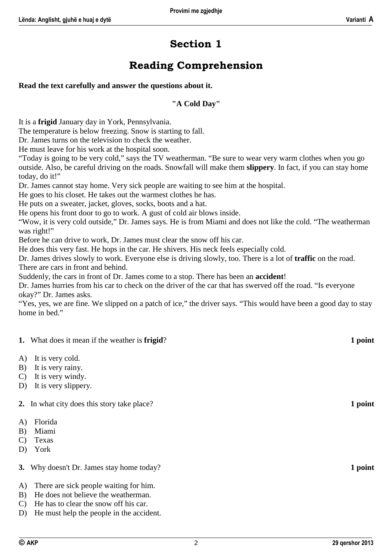# **Section 1**

### **Reading Comprehension**

#### **Read the text carefully and answer the questions about it.**

#### **"A Cold Day"**

It is a **frigid** January day in York, Pennsylvania.

The temperature is below freezing. Snow is starting to fall.

Dr. James turns on the television to check the weather.

He must leave for his work at the hospital soon.

"Today is going to be very cold," says the TV weatherman. "Be sure to wear very warm clothes when you go outside. Also, be careful driving on the roads. Snowfall will make them **slippery**. In fact, if you can stay home today, do it!"

Dr. James cannot stay home. Very sick people are waiting to see him at the hospital.

He goes to his closet. He takes out the warmest clothes he has.

He puts on a sweater, jacket, gloves, socks, boots and a hat.

He opens his front door to go to work. A gust of cold air blows inside.

"Wow, it is very cold outside," Dr. James says. He is from Miami and does not like the cold. "The weatherman was right!"

Before he can drive to work, Dr. James must clear the snow off his car.

He does this very fast. He hops in the car. He shivers. His neck feels especially cold.

Dr. James drives slowly to work. Everyone else is driving slowly, too. There is a lot of **traffic** on the road. There are cars in front and behind.

Suddenly, the cars in front of Dr. James come to a stop. There has been an **accident**!

Dr. James hurries from his car to check on the driver of the car that has swerved off the road. "Is everyone okay?" Dr. James asks.

"Yes, yes, we are fine. We slipped on a patch of ice," the driver says. "This would have been a good day to stay home in bed."

#### **1.** What does it mean if the weather is **frigid**? **1 point**

- A) It is very cold.
- B) It is very rainy.
- C) It is very windy.
- D) It is very slippery.

**2.** In what city does this story take place? **1 point**

- A) Florida
- B) Miami
- C) Texas
- D) York
- **3.** Why doesn't Dr. James stay home today? **1 point**
- A) There are sick people waiting for him.
- B) He does not believe the weatherman.
- C) He has to clear the snow off his car.
- D) He must help the people in the accident.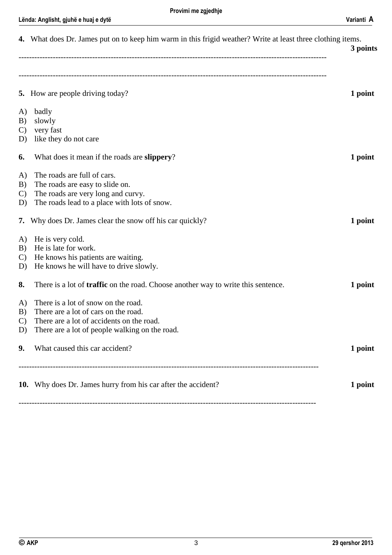|                                 | 4. What does Dr. James put on to keep him warm in this frigid weather? Write at least three clothing items.                                                                | 3 points |
|---------------------------------|----------------------------------------------------------------------------------------------------------------------------------------------------------------------------|----------|
|                                 | <b>5.</b> How are people driving today?                                                                                                                                    | 1 point  |
| A)<br>B)<br>$\mathcal{C}$<br>D) | badly<br>slowly<br>very fast<br>like they do not care                                                                                                                      |          |
| 6.                              | What does it mean if the roads are slippery?                                                                                                                               | 1 point  |
| A)<br>B)<br>$\mathcal{C}$<br>D) | The roads are full of cars.<br>The roads are easy to slide on.<br>The roads are very long and curvy.<br>The roads lead to a place with lots of snow.                       |          |
|                                 | 7. Why does Dr. James clear the snow off his car quickly?                                                                                                                  | 1 point  |
| A)<br>B)<br>$\mathcal{C}$<br>D) | He is very cold.<br>He is late for work.<br>He knows his patients are waiting.<br>He knows he will have to drive slowly.                                                   |          |
| 8.                              | There is a lot of <b>traffic</b> on the road. Choose another way to write this sentence.                                                                                   | 1 point  |
| A)<br>B)<br>$\mathcal{C}$<br>D) | There is a lot of snow on the road.<br>There are a lot of cars on the road.<br>There are a lot of accidents on the road.<br>There are a lot of people walking on the road. |          |
| 9.                              | What caused this car accident?                                                                                                                                             | 1 point  |
|                                 | 10. Why does Dr. James hurry from his car after the accident?                                                                                                              | 1 point  |

-----------------------------------------------------------------------------------------------------------------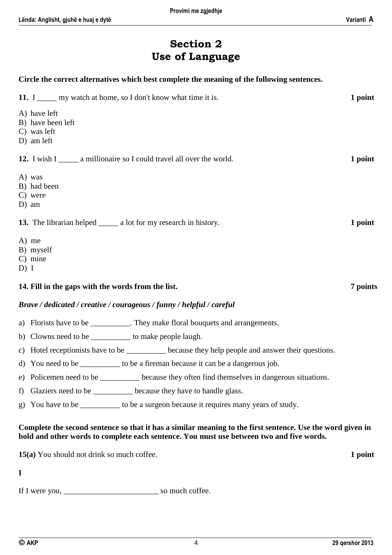### **Section 2 Use of Language**

**Circle the correct alternatives which best complete the meaning of the following sentences.** 

| 11. I <u>equilibrate</u> my watch at home, so I don't know what time it is.                                                                                                                            | 1 point  |
|--------------------------------------------------------------------------------------------------------------------------------------------------------------------------------------------------------|----------|
| A) have left<br>B) have been left<br>C) was left<br>D) am left                                                                                                                                         |          |
| 12. I wish I amillionaire so I could travel all over the world.                                                                                                                                        | 1 point  |
| A) was<br>B) had been<br>C) were<br>$D)$ am                                                                                                                                                            |          |
| 13. The librarian helped _______ a lot for my research in history.                                                                                                                                     | 1 point  |
| A) me<br>B) myself<br>$C)$ mine<br>D) I                                                                                                                                                                |          |
| 14. Fill in the gaps with the words from the list.                                                                                                                                                     | 7 points |
| Brave / dedicated / creative / courageous / funny / helpful / careful                                                                                                                                  |          |
| a) Florists have to be ___________. They make floral bouquets and arrangements.                                                                                                                        |          |
| b) Clowns need to be ____________ to make people laugh.                                                                                                                                                |          |
| c) Hotel receptionists have to be _________ because they help people and answer their questions.                                                                                                       |          |
| d) You need to be ____________ to be a fireman because it can be a dangerous job.                                                                                                                      |          |
| e) Policemen need to be ________ because they often find themselves in dangerous situations.                                                                                                           |          |
| Glaziers need to be _________ because they have to handle glass.<br>f)                                                                                                                                 |          |
| You have to be _________ to be a surgeon because it requires many years of study.<br>g)                                                                                                                |          |
| Complete the second sentence so that it has a similar meaning to the first sentence. Use the word given in<br>bold and other words to complete each sentence. You must use between two and five words. |          |
| 15(a) You should not drink so much coffee.                                                                                                                                                             | 1 point  |
| $\mathbf I$                                                                                                                                                                                            |          |
|                                                                                                                                                                                                        |          |
|                                                                                                                                                                                                        |          |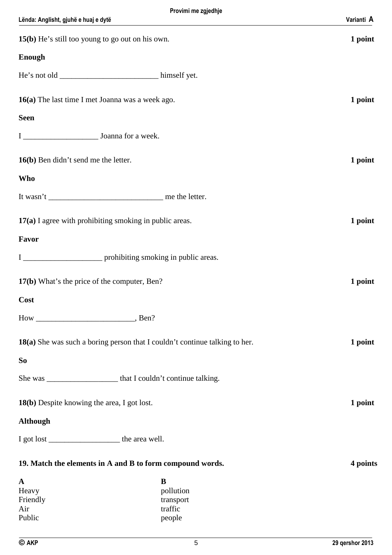| 15(b) He's still too young to go out on his own.                            | 1 point  |
|-----------------------------------------------------------------------------|----------|
| <b>Enough</b>                                                               |          |
|                                                                             |          |
| 16(a) The last time I met Joanna was a week ago.                            | 1 point  |
| <b>Seen</b>                                                                 |          |
|                                                                             |          |
| 16(b) Ben didn't send me the letter.                                        | 1 point  |
| <b>Who</b>                                                                  |          |
|                                                                             |          |
| 17(a) I agree with prohibiting smoking in public areas.                     | 1 point  |
| Favor                                                                       |          |
|                                                                             |          |
| 17(b) What's the price of the computer, Ben?                                | 1 point  |
| Cost                                                                        |          |
| Ben?<br>$How_$                                                              |          |
| 18(a) She was such a boring person that I couldn't continue talking to her. | 1 point  |
| S <sub>o</sub>                                                              |          |
|                                                                             |          |
| 18(b) Despite knowing the area, I got lost.                                 | 1 point  |
| <b>Although</b>                                                             |          |
|                                                                             |          |
| 19. Match the elements in A and B to form compound words.                   | 4 points |
| B<br>$\mathbf{A}$                                                           |          |
| Heavy<br>pollution<br>Friendly<br>transport                                 |          |
| Air<br>traffic<br>Public<br>people                                          |          |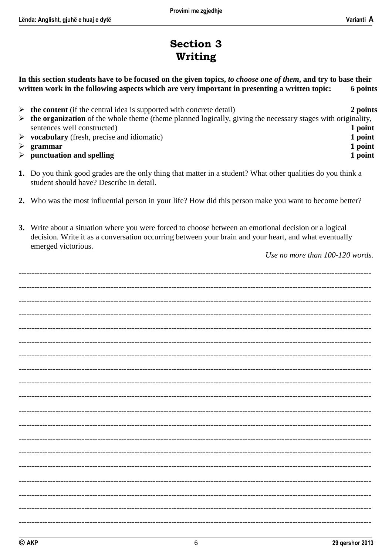### **Section 3** Writing

In this section students have to be focused on the given topics, to choose one of them, and try to base their written work in the following aspects which are very important in presenting a written topic: 6 points

| $\triangleright$ the content (if the central idea is supported with concrete detail)                                         | 2 points |
|------------------------------------------------------------------------------------------------------------------------------|----------|
| $\triangleright$ the organization of the whole theme (theme planned logically, giving the necessary stages with originality, |          |
| sentences well constructed)                                                                                                  | 1 point  |
| $\triangleright$ vocabulary (fresh, precise and idiomatic)                                                                   | 1 point  |
| $\triangleright$ grammar                                                                                                     | 1 point  |
| $\triangleright$ punctuation and spelling                                                                                    | 1 point  |

- 1. Do you think good grades are the only thing that matter in a student? What other qualities do you think a student should have? Describe in detail.
- 2. Who was the most influential person in your life? How did this person make you want to become better?
- 3. Write about a situation where you were forced to choose between an emotional decision or a logical decision. Write it as a conversation occurring between your brain and your heart, and what eventually emerged victorious.

Use no more than 100-120 words.

6